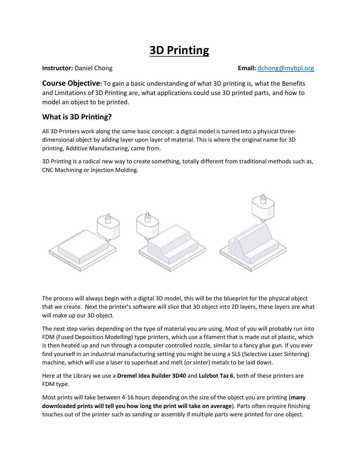# **3D Printing**

#### **Instructor:** Daniel Chong<br> **Email:**  $d$ chong@mybpl.org

**Course Objective:** To gain a basic understanding of what 3D printing is, what the Benefits and Limitations of 3D Printing are, what applications could use 3D printed parts, and how to model an object to be printed.

## **What is 3D Printing?**

All 3D Printers work along the same basic concept: a digital model is turned into a physical threedimensional object by adding layer upon layer of material. This is where the original name for 3D printing, Additive Manufacturing, came from.

3D Printing is a radical new way to create something, totally different from traditional methods such as, CNC Machining or Injection Molding.



The process will always begin with a digital 3D model, this will be the blueprint for the physical object that we create. Next the printer's software will slice that 3D object into 2D layers, these layers are what will make up our 3D object.

The next step varies depending on the type of material you are using. Most of you will probably run into FDM (Fused Deposition Modelling) type printers, which use a filament that is made out of plastic, which is then heated up and run through a computer controlled nozzle, similar to a fancy glue gun. If you ever find yourself in an industrial manufacturing setting you might be using a SLS (Selective Laser Sintering) machine, which will use a laser to superheat and melt (or sinter) metals to be laid down.

Here at the Library we use a **Dremel Idea Builder 3D40** and **Lulzbot Taz 6**, both of these printers are FDM type.

Most prints will take between 4-16 hours depending on the size of the object you are printing (**many downloaded prints will tell you how long the print will take on average**). Parts often require finishing touches out of the printer such as sanding or assembly if multiple parts were printed for one object.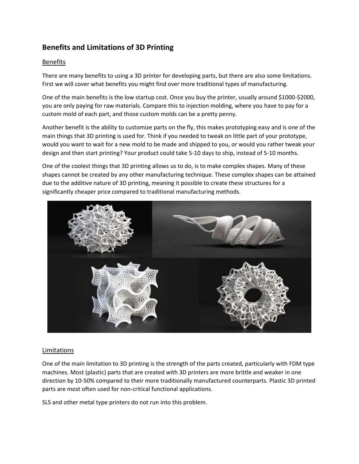## **Benefits and Limitations of 3D Printing**

#### Benefits

There are many benefits to using a 3D printer for developing parts, but there are also some limitations. First we will cover what benefits you might find over more traditional types of manufacturing.

One of the main benefits is the low startup cost. Once you buy the printer, usually around \$1000-\$2000, you are only paying for raw materials. Compare this to injection molding, where you have to pay for a custom mold of each part, and those custom molds can be a pretty penny.

Another benefit is the ability to customize parts on the fly, this makes prototyping easy and is one of the main things that 3D printing is used for. Think if you needed to tweak on little part of your prototype, would you want to wait for a new mold to be made and shipped to you, or would you rather tweak your design and then start printing? Your product could take 5-10 days to ship, instead of 5-10 months.

One of the coolest things that 3D printing allows us to do, is to make complex shapes. Many of these shapes cannot be created by any other manufacturing technique. These complex shapes can be attained due to the additive nature of 3D printing, meaning it possible to create these structures for a significantly cheaper price compared to traditional manufacturing methods.



#### Limitations

One of the main limitation to 3D printing is the strength of the parts created, particularly with FDM type machines. Most (plastic) parts that are created with 3D printers are more brittle and weaker in one direction by 10-50% compared to their more traditionally manufactured counterparts. Plastic 3D printed parts are most often used for non-critical functional applications.

SLS and other metal type printers do not run into this problem.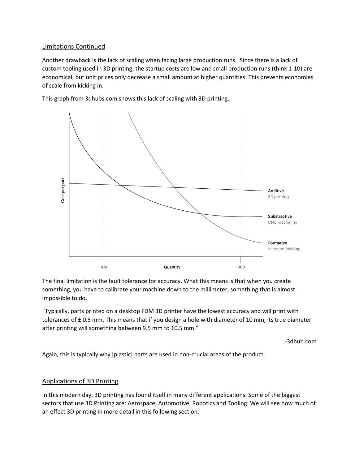#### Limitations Continued

Another drawback is the lack of scaling when facing large production runs. Since there is a lack of custom tooling used in 3D printing, the startup costs are low and small production runs (think 1-10) are economical, but unit prices only decrease a small amount at higher quantities. This prevents economies of scale from kicking in.

This graph from 3dhubs.com shows this lack of scaling with 3D printing.



The final limitation is the fault tolerance for accuracy. What this means is that when you create something, you have to calibrate your machine down to the millimeter, something that is almost impossible to do.

"Typically, parts printed on a desktop FDM 3D printer have the lowest accuracy and will print with tolerances of  $\pm$  0.5 mm. This means that if you design a hole with diameter of 10 mm, its true diameter after printing will something between 9.5 mm to 10.5 mm."

-3dhub.com

Again, this is typically why [plastic] parts are used in non-crucial areas of the product.

#### Applications of 3D Printing

In this modern day, 3D printing has found itself in many different applications. Some of the biggest sectors that use 3D Printing are: Aerospace, Automotive, Robotics and Tooling. We will see how much of an effect 3D printing in more detail in this following section.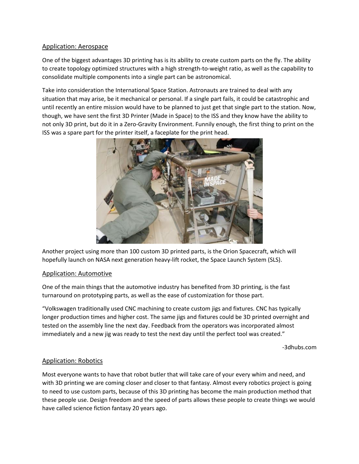#### Application: Aerospace

One of the biggest advantages 3D printing has is its ability to create custom parts on the fly. The ability to create topology optimized structures with a high strength-to-weight ratio, as well as the capability to consolidate multiple components into a single part can be astronomical.

Take into consideration the International Space Station. Astronauts are trained to deal with any situation that may arise, be it mechanical or personal. If a single part fails, it could be catastrophic and until recently an entire mission would have to be planned to just get that single part to the station. Now, though, we have sent the first 3D Printer (Made in Space) to the ISS and they know have the ability to not only 3D print, but do it in a Zero-Gravity Environment. Funnily enough, the first thing to print on the ISS was a spare part for the printer itself, a faceplate for the print head.



Another project using more than 100 custom 3D printed parts, is the Orion Spacecraft, which will hopefully launch on NASA next generation heavy-lift rocket, the Space Launch System (SLS).

#### Application: Automotive

One of the main things that the automotive industry has benefited from 3D printing, is the fast turnaround on prototyping parts, as well as the ease of customization for those part.

"Volkswagen traditionally used CNC machining to create custom jigs and fixtures. CNC has typically longer production times and higher cost. The same jigs and fixtures could be 3D printed overnight and tested on the assembly line the next day. Feedback from the operators was incorporated almost immediately and a new jig was ready to test the next day until the perfect tool was created."

-3dhubs.com

#### Application: Robotics

Most everyone wants to have that robot butler that will take care of your every whim and need, and with 3D printing we are coming closer and closer to that fantasy. Almost every robotics project is going to need to use custom parts, because of this 3D printing has become the main production method that these people use. Design freedom and the speed of parts allows these people to create things we would have called science fiction fantasy 20 years ago.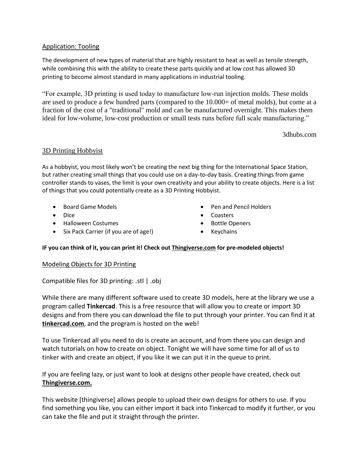#### Application: Tooling

The development of new types of material that are highly resistant to heat as well as tensile strength, while combining this with the ability to create these parts quickly and at low cost has allowed 3D printing to become almost standard in many applications in industrial tooling.

"For example, 3D printing is used today to manufacture low-run injection molds. These molds are used to produce a few hundred parts (compared to the 10.000+ of metal molds), but come at a fraction of the cost of a "traditional" mold and can be manufactured overnight. This makes them ideal for low-volume, low-cost production or small tests runs before full scale manufacturing."

3dhubs.com

#### 3D Printing Hobbyist

As a hobbyist, you most likely won't be creating the next big thing for the International Space Station, but rather creating small things that you could use on a day-to-day basis. Creating things from game controller stands to vases, the limit is your own creativity and your ability to create objects. Here is a list of things that you could potentially create as a 3D Printing Hobbyist.

- Board Game Models
- Dice
- Halloween Costumes
- Six Pack Carrier (if you are of age!)
- Pen and Pencil Holders
- Coasters
- Bottle Openers
- Keychains

#### **IF you can think of it, you can print it! Check out Thingiverse.com for pre-modeled objects!**

#### Modeling Objects for 3D Printing

Compatible files for 3D printing: .stl | .obj

While there are many different software used to create 3D models, here at the library we use a program called **Tinkercad**. This is a free resource that will allow you to create or import 3D designs and from there you can download the file to put through your printer. You can find it at **tinkercad.com**, and the program is hosted on the web!

To use Tinkercad all you need to do is create an account, and from there you can design and watch tutorials on how to create on object. Tonight we will have some time for all of us to tinker with and create an object, if you like it we can put it in the queue to print.

If you are feeling lazy, or just want to look at designs other people have created, check out **Thingiverse.com.**

This website [thingiverse] allows people to upload their own designs for others to use. If you find something you like, you can either import it back into Tinkercad to modify it further, or you can take the file and put it straight through the printer.